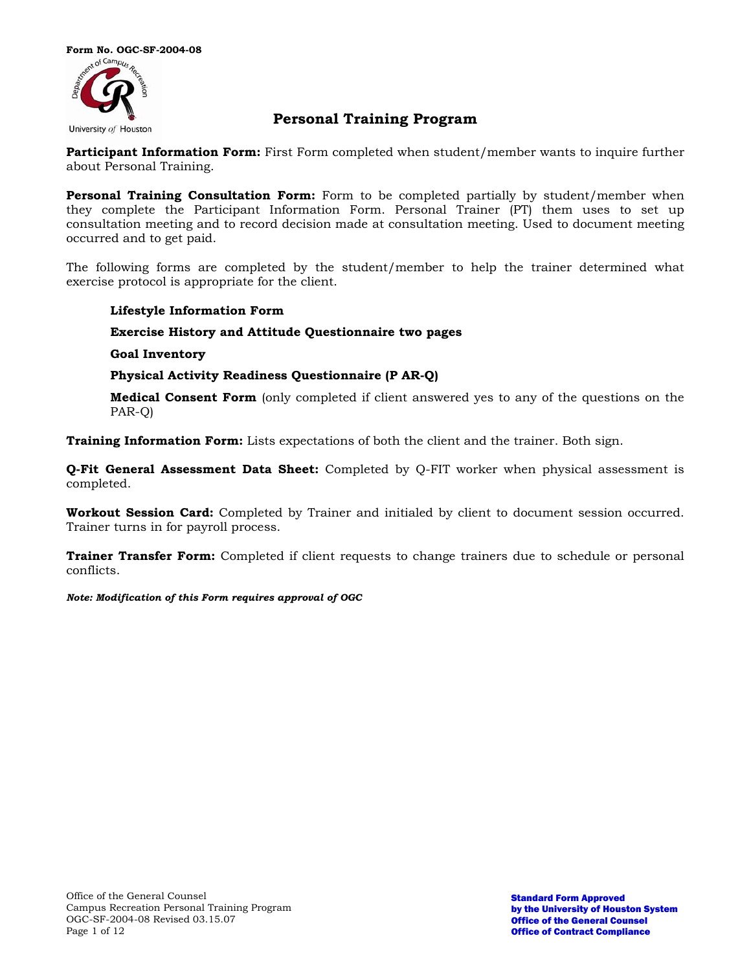

## **Personal Training Program**

**Participant Information Form:** First Form completed when student/member wants to inquire further about Personal Training.

**Personal Training Consultation Form:** Form to be completed partially by student/member when they complete the Participant Information Form. Personal Trainer (PT) them uses to set up consultation meeting and to record decision made at consultation meeting. Used to document meeting occurred and to get paid.

The following forms are completed by the student/member to help the trainer determined what exercise protocol is appropriate for the client.

## **Lifestyle Information Form**

**Exercise History and Attitude Questionnaire two pages** 

**Goal Inventory** 

## **Physical Activity Readiness Questionnaire (P AR-Q)**

**Medical Consent Form** (only completed if client answered yes to any of the questions on the PAR-Q)

**Training Information Form:** Lists expectations of both the client and the trainer. Both sign.

**Q-Fit General Assessment Data Sheet:** Completed by Q-FIT worker when physical assessment is completed.

**Workout Session Card:** Completed by Trainer and initialed by client to document session occurred. Trainer turns in for payroll process.

**Trainer Transfer Form:** Completed if client requests to change trainers due to schedule or personal conflicts.

*Note: Modification of this Form requires approval of OGC*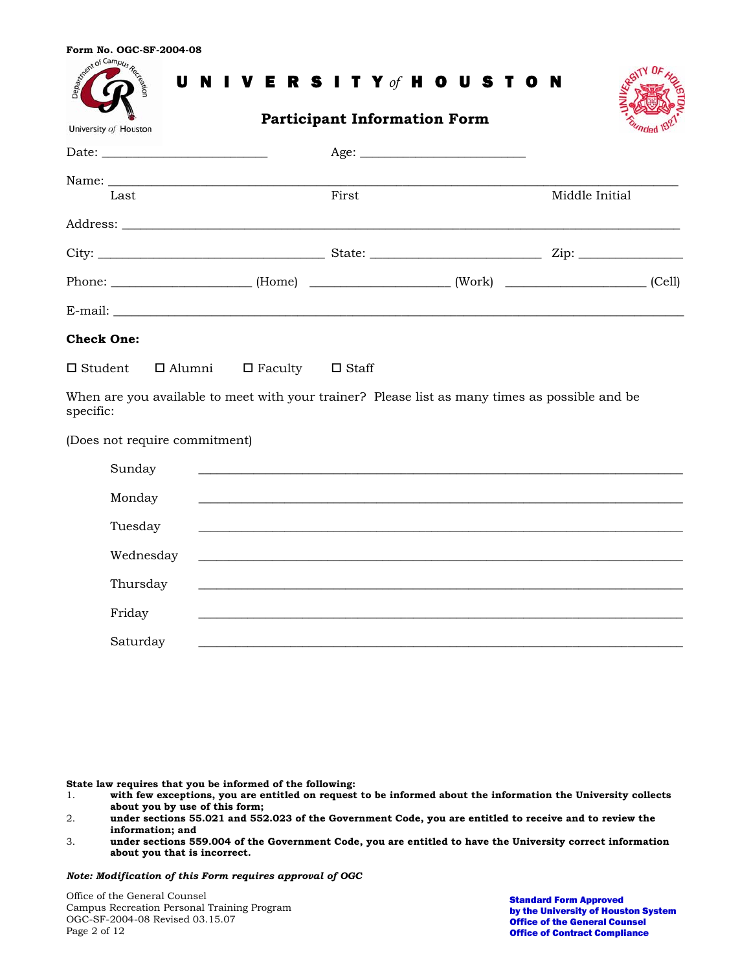|  |  |  | Form No. OGC-SF-2004-08 |
|--|--|--|-------------------------|
|--|--|--|-------------------------|

| Registration of the Registration                                                                                                                                                                                               |                             |       | UNIVERSITY of HOUSTON                                                                          |                |  |
|--------------------------------------------------------------------------------------------------------------------------------------------------------------------------------------------------------------------------------|-----------------------------|-------|------------------------------------------------------------------------------------------------|----------------|--|
| University of Houston                                                                                                                                                                                                          |                             |       | <b>Participant Information Form</b>                                                            |                |  |
|                                                                                                                                                                                                                                |                             |       | Age:                                                                                           |                |  |
|                                                                                                                                                                                                                                |                             |       |                                                                                                |                |  |
| Last                                                                                                                                                                                                                           |                             | First |                                                                                                | Middle Initial |  |
|                                                                                                                                                                                                                                |                             |       |                                                                                                |                |  |
|                                                                                                                                                                                                                                |                             |       |                                                                                                |                |  |
| E-mail: The contract of the contract of the contract of the contract of the contract of the contract of the contract of the contract of the contract of the contract of the contract of the contract of the contract of the co |                             |       |                                                                                                |                |  |
| <b>Check One:</b>                                                                                                                                                                                                              |                             |       |                                                                                                |                |  |
| $\Box$ Alumni<br>$\Box$ Student                                                                                                                                                                                                | $\Box$ Faculty $\Box$ Staff |       |                                                                                                |                |  |
| specific:                                                                                                                                                                                                                      |                             |       | When are you available to meet with your trainer? Please list as many times as possible and be |                |  |
| (Does not require commitment)                                                                                                                                                                                                  |                             |       |                                                                                                |                |  |
| Sunday                                                                                                                                                                                                                         |                             |       |                                                                                                |                |  |
| Monday                                                                                                                                                                                                                         |                             |       |                                                                                                |                |  |
| Tuesday                                                                                                                                                                                                                        |                             |       |                                                                                                |                |  |
| Wednesday                                                                                                                                                                                                                      |                             |       |                                                                                                |                |  |
| Thursday                                                                                                                                                                                                                       |                             |       |                                                                                                |                |  |
| Friday                                                                                                                                                                                                                         |                             |       |                                                                                                |                |  |
| Saturday                                                                                                                                                                                                                       |                             |       |                                                                                                |                |  |

**State law requires that you be informed of the following:** 

- 1. **with few exceptions, you are entitled on request to be informed about the information the University collects about you by use of this form;**
- 2. **under sections 55.021 and 552.023 of the Government Code, you are entitled to receive and to review the information; and**
- 3. **under sections 559.004 of the Government Code, you are entitled to have the University correct information about you that is incorrect.**

*Note: Modification of this Form requires approval of OGC* 

Office of the General Counsel Campus Recreation Personal Training Program OGC-SF-2004-08 Revised 03.15.07 Page 2 of 12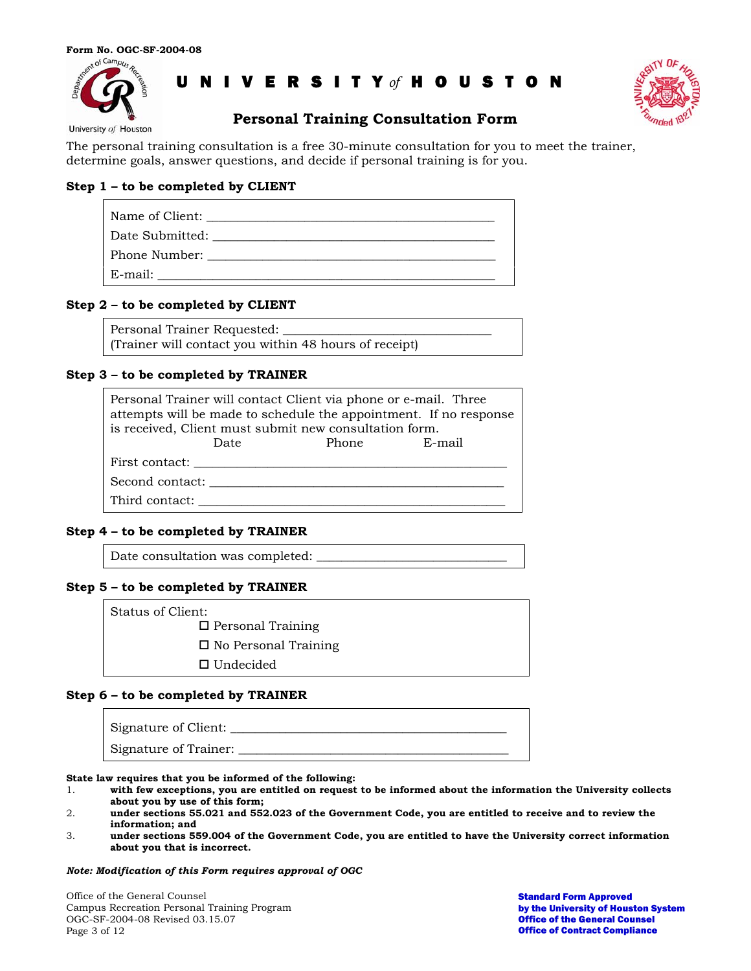



University of Houston

## **Personal Training Consultation Form**

The personal training consultation is a free 30-minute consultation for you to meet the trainer, determine goals, answer questions, and decide if personal training is for you.

## **Step 1 – to be completed by CLIENT**

| Date Submitted:                                                                                                                                                                                                                |
|--------------------------------------------------------------------------------------------------------------------------------------------------------------------------------------------------------------------------------|
| Phone Number: The Second Second Second Second Second Second Second Second Second Second Second Second Second Second Second Second Second Second Second Second Second Second Second Second Second Second Second Second Second S |
| E-mail:                                                                                                                                                                                                                        |

### **Step 2 – to be completed by CLIENT**

Personal Trainer Requested: (Trainer will contact you within 48 hours of receipt)

## **Step 3 – to be completed by TRAINER**

| Personal Trainer will contact Client via phone or e-mail. Three<br>attempts will be made to schedule the appointment. If no response<br>is received, Client must submit new consultation form. |  |              |  |  |  |
|------------------------------------------------------------------------------------------------------------------------------------------------------------------------------------------------|--|--------------|--|--|--|
| Date                                                                                                                                                                                           |  | Phone E-mail |  |  |  |
|                                                                                                                                                                                                |  |              |  |  |  |
| Second contact:                                                                                                                                                                                |  |              |  |  |  |
| Third contact:                                                                                                                                                                                 |  |              |  |  |  |

### **Step 4 – to be completed by TRAINER**

Date consultation was completed:

### **Step 5 – to be completed by TRAINER**

Status of Client:

□ Personal Training

□ No Personal Training

□ Undecided

### **Step 6 – to be completed by TRAINER**

| Signature of Client:  |  |
|-----------------------|--|
| Signature of Trainer: |  |

**State law requires that you be informed of the following:** 

- 1. **with few exceptions, you are entitled on request to be informed about the information the University collects about you by use of this form;**
- 2. **under sections 55.021 and 552.023 of the Government Code, you are entitled to receive and to review the information; and**
- 3. **under sections 559.004 of the Government Code, you are entitled to have the University correct information about you that is incorrect.**

#### *Note: Modification of this Form requires approval of OGC*

Office of the General Counsel Campus Recreation Personal Training Program OGC-SF-2004-08 Revised 03.15.07 Page 3 of 12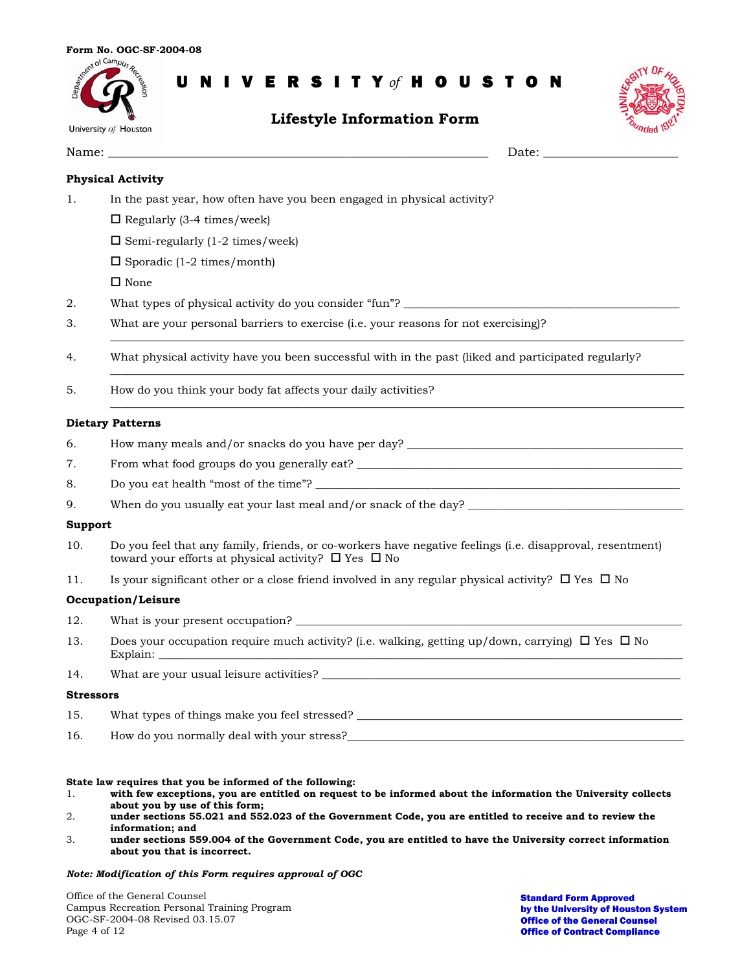

## **Lifestyle Information Form**



|                  | Date: the contract of the contract of the contract of the contract of the contract of the contract of the contract of the contract of the contract of the contract of the contract of the contract of the contract of the cont |
|------------------|--------------------------------------------------------------------------------------------------------------------------------------------------------------------------------------------------------------------------------|
|                  | <b>Physical Activity</b>                                                                                                                                                                                                       |
| 1.               | In the past year, how often have you been engaged in physical activity?                                                                                                                                                        |
|                  | $\Box$ Regularly (3-4 times/week)                                                                                                                                                                                              |
|                  | $\square$ Semi-regularly (1-2 times/week)                                                                                                                                                                                      |
|                  | $\square$ Sporadic (1-2 times/month)                                                                                                                                                                                           |
|                  | $\square$ None                                                                                                                                                                                                                 |
| 2.               | What types of physical activity do you consider "fun"? _________________________                                                                                                                                               |
| 3.               | What are your personal barriers to exercise (i.e. your reasons for not exercising)?                                                                                                                                            |
| 4.               | What physical activity have you been successful with in the past (liked and participated regularly?                                                                                                                            |
| 5.               | How do you think your body fat affects your daily activities?                                                                                                                                                                  |
|                  | <b>Dietary Patterns</b>                                                                                                                                                                                                        |
| 6.               | How many meals and/or snacks do you have per day? _______________________________                                                                                                                                              |
| 7.               |                                                                                                                                                                                                                                |
| 8.               |                                                                                                                                                                                                                                |
| 9.               |                                                                                                                                                                                                                                |
| <b>Support</b>   |                                                                                                                                                                                                                                |
| 10.              | Do you feel that any family, friends, or co-workers have negative feelings (i.e. disapproval, resentment)<br>toward your efforts at physical activity? $\Box$ Yes $\Box$ No                                                    |
| 11.              | Is your significant other or a close friend involved in any regular physical activity? $\Box$ Yes $\Box$ No                                                                                                                    |
|                  | <b>Occupation/Leisure</b>                                                                                                                                                                                                      |
| 12.              |                                                                                                                                                                                                                                |
| 13.              | Does your occupation require much activity? (i.e. walking, getting up/down, carrying) $\Box$ Yes $\Box$ No<br>Explain:<br><u> 1980 - Andrea State Barbara, amerikan per</u>                                                    |
| 14.              |                                                                                                                                                                                                                                |
| <b>Stressors</b> |                                                                                                                                                                                                                                |
| 15.              | What types of things make you feel stressed? ___________________________________                                                                                                                                               |
| 16.              | How do you normally deal with your stress?                                                                                                                                                                                     |

#### **State law requires that you be informed of the following:**

- 1. **with few exceptions, you are entitled on request to be informed about the information the University collects about you by use of this form;**
- 2. **under sections 55.021 and 552.023 of the Government Code, you are entitled to receive and to review the information; and**
- 3. **under sections 559.004 of the Government Code, you are entitled to have the University correct information about you that is incorrect.**

#### *Note: Modification of this Form requires approval of OGC*

Office of the General Counsel Campus Recreation Personal Training Program OGC-SF-2004-08 Revised 03.15.07 Page 4 of 12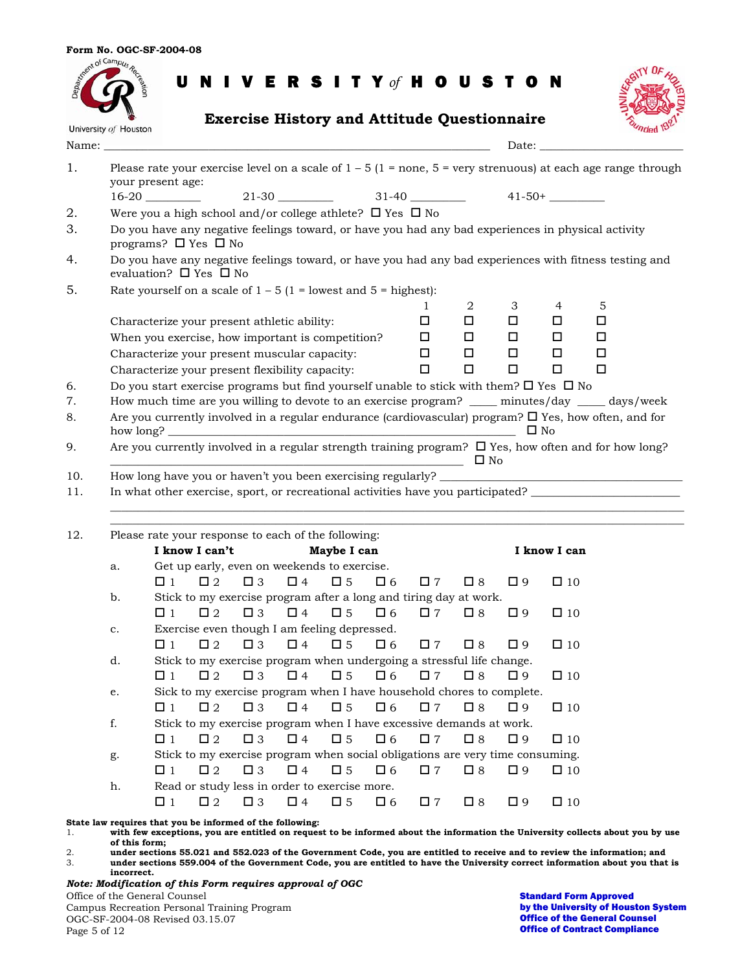| <b>Exercise History and Attitude Questionnaire</b><br>University of Houston<br>Name:<br>Date:<br>Please rate your exercise level on a scale of $1 - 5$ ( $1 =$ none, $5 =$ very strenuous) at each age range through<br>your present age:<br>$16-20$ 21-30 21-30 31-40 41-50+<br>Were you a high school and/or college athlete? $\Box$ Yes $\Box$ No<br>Do you have any negative feelings toward, or have you had any bad experiences in physical activity<br>programs? □ Yes □ No<br>Do you have any negative feelings toward, or have you had any bad experiences with fitness testing and<br>evaluation? $\square$ Yes $\square$ No<br>Rate yourself on a scale of $1 - 5$ (1 = lowest and 5 = highest):<br>2<br>3<br>4<br>5<br>1<br>$\Box$<br>$\Box$<br>0.<br>0<br>□<br>Characterize your present athletic ability:<br>When you exercise, how important is competition?<br>$\Box$<br>$\Box$<br>0<br>□<br>□<br>Characterize your present muscular capacity:<br>$\Box$<br>$\Box$<br>$\Box$<br>□<br>□<br>$\Box$<br>$\Box$<br>$\Box$<br>$\Box$<br>Characterize your present flexibility capacity:<br>□<br>Do you start exercise programs but find yourself unable to stick with them? $\Box$ Yes $\Box$ No<br>How much time are you willing to devote to an exercise program? ____ minutes/day ____ days/week<br>Are you currently involved in a regular endurance (cardiovascular) program? $\Box$ Yes, how often, and for<br>$\square$ No<br>Are you currently involved in a regular strength training program? $\Box$ Yes, how often and for how long?<br>$\square$ No<br>and the control of the control of the control of the control of the control of the control of the control of the<br>In what other exercise, sport, or recreational activities have you participated?<br>Please rate your response to each of the following:<br>I know I can't<br>Maybe I can<br>I know I can<br>Get up early, even on weekends to exercise.<br>$\Box$ 2<br>$\Box$ 3<br>$\Box$ 4<br>$\square$ 5<br>$\square$ 6<br>$\square$ 8<br>$\square$ 9<br>$\Box$ 1<br>$\square$ 7<br>$\square$ 10<br>Stick to my exercise program after a long and tiring day at work.<br>b.<br>$\Box$ 2<br>$\Box$ 4<br>$\Box$ 1<br>$\square$ 3<br>$\square$ 5<br>$\square$ 6<br>$\square$ 7<br>$\square$ 8<br>$\square$ 9<br>$\square$ 10<br>Exercise even though I am feeling depressed.<br>$\mathbf{C}$ .<br>$\square$ 2<br>$\square$ 3<br>$\square$ 4<br>$\square$ 5<br>$\Box$ 1<br>$\Box$ 6<br>$\square$ 7<br>$\square$ 8<br>$\square$ 9<br>$\square$ 10<br>Stick to my exercise program when undergoing a stressful life change.<br>d. | Control Campus Re |          |          |             |          | U N I V E R S I T Y of H O U S T O N |          |             |             |             |  |  |
|----------------------------------------------------------------------------------------------------------------------------------------------------------------------------------------------------------------------------------------------------------------------------------------------------------------------------------------------------------------------------------------------------------------------------------------------------------------------------------------------------------------------------------------------------------------------------------------------------------------------------------------------------------------------------------------------------------------------------------------------------------------------------------------------------------------------------------------------------------------------------------------------------------------------------------------------------------------------------------------------------------------------------------------------------------------------------------------------------------------------------------------------------------------------------------------------------------------------------------------------------------------------------------------------------------------------------------------------------------------------------------------------------------------------------------------------------------------------------------------------------------------------------------------------------------------------------------------------------------------------------------------------------------------------------------------------------------------------------------------------------------------------------------------------------------------------------------------------------------------------------------------------------------------------------------------------------------------------------------------------------------------------------------------------------------------------------------------------------------------------------------------------------------------------------------------------------------------------------------------------------------------------------------------------------------------------------------------------------------------------------------------------------------------------------------------------------------------------------------------------------------------------------------------------------------------------------------------------------------------|-------------------|----------|----------|-------------|----------|--------------------------------------|----------|-------------|-------------|-------------|--|--|
|                                                                                                                                                                                                                                                                                                                                                                                                                                                                                                                                                                                                                                                                                                                                                                                                                                                                                                                                                                                                                                                                                                                                                                                                                                                                                                                                                                                                                                                                                                                                                                                                                                                                                                                                                                                                                                                                                                                                                                                                                                                                                                                                                                                                                                                                                                                                                                                                                                                                                                                                                                                                                |                   |          |          |             |          |                                      |          |             |             |             |  |  |
|                                                                                                                                                                                                                                                                                                                                                                                                                                                                                                                                                                                                                                                                                                                                                                                                                                                                                                                                                                                                                                                                                                                                                                                                                                                                                                                                                                                                                                                                                                                                                                                                                                                                                                                                                                                                                                                                                                                                                                                                                                                                                                                                                                                                                                                                                                                                                                                                                                                                                                                                                                                                                |                   |          |          |             |          |                                      |          |             |             |             |  |  |
|                                                                                                                                                                                                                                                                                                                                                                                                                                                                                                                                                                                                                                                                                                                                                                                                                                                                                                                                                                                                                                                                                                                                                                                                                                                                                                                                                                                                                                                                                                                                                                                                                                                                                                                                                                                                                                                                                                                                                                                                                                                                                                                                                                                                                                                                                                                                                                                                                                                                                                                                                                                                                |                   |          |          |             |          |                                      |          |             |             |             |  |  |
|                                                                                                                                                                                                                                                                                                                                                                                                                                                                                                                                                                                                                                                                                                                                                                                                                                                                                                                                                                                                                                                                                                                                                                                                                                                                                                                                                                                                                                                                                                                                                                                                                                                                                                                                                                                                                                                                                                                                                                                                                                                                                                                                                                                                                                                                                                                                                                                                                                                                                                                                                                                                                |                   |          |          |             |          |                                      |          |             |             |             |  |  |
|                                                                                                                                                                                                                                                                                                                                                                                                                                                                                                                                                                                                                                                                                                                                                                                                                                                                                                                                                                                                                                                                                                                                                                                                                                                                                                                                                                                                                                                                                                                                                                                                                                                                                                                                                                                                                                                                                                                                                                                                                                                                                                                                                                                                                                                                                                                                                                                                                                                                                                                                                                                                                |                   |          |          |             |          |                                      |          |             |             |             |  |  |
|                                                                                                                                                                                                                                                                                                                                                                                                                                                                                                                                                                                                                                                                                                                                                                                                                                                                                                                                                                                                                                                                                                                                                                                                                                                                                                                                                                                                                                                                                                                                                                                                                                                                                                                                                                                                                                                                                                                                                                                                                                                                                                                                                                                                                                                                                                                                                                                                                                                                                                                                                                                                                |                   |          |          |             |          |                                      |          |             |             |             |  |  |
|                                                                                                                                                                                                                                                                                                                                                                                                                                                                                                                                                                                                                                                                                                                                                                                                                                                                                                                                                                                                                                                                                                                                                                                                                                                                                                                                                                                                                                                                                                                                                                                                                                                                                                                                                                                                                                                                                                                                                                                                                                                                                                                                                                                                                                                                                                                                                                                                                                                                                                                                                                                                                |                   |          |          |             |          |                                      |          |             |             |             |  |  |
|                                                                                                                                                                                                                                                                                                                                                                                                                                                                                                                                                                                                                                                                                                                                                                                                                                                                                                                                                                                                                                                                                                                                                                                                                                                                                                                                                                                                                                                                                                                                                                                                                                                                                                                                                                                                                                                                                                                                                                                                                                                                                                                                                                                                                                                                                                                                                                                                                                                                                                                                                                                                                |                   |          |          |             |          |                                      |          |             |             |             |  |  |
|                                                                                                                                                                                                                                                                                                                                                                                                                                                                                                                                                                                                                                                                                                                                                                                                                                                                                                                                                                                                                                                                                                                                                                                                                                                                                                                                                                                                                                                                                                                                                                                                                                                                                                                                                                                                                                                                                                                                                                                                                                                                                                                                                                                                                                                                                                                                                                                                                                                                                                                                                                                                                |                   |          |          |             |          |                                      |          |             |             |             |  |  |
|                                                                                                                                                                                                                                                                                                                                                                                                                                                                                                                                                                                                                                                                                                                                                                                                                                                                                                                                                                                                                                                                                                                                                                                                                                                                                                                                                                                                                                                                                                                                                                                                                                                                                                                                                                                                                                                                                                                                                                                                                                                                                                                                                                                                                                                                                                                                                                                                                                                                                                                                                                                                                |                   |          |          |             |          |                                      |          |             |             |             |  |  |
|                                                                                                                                                                                                                                                                                                                                                                                                                                                                                                                                                                                                                                                                                                                                                                                                                                                                                                                                                                                                                                                                                                                                                                                                                                                                                                                                                                                                                                                                                                                                                                                                                                                                                                                                                                                                                                                                                                                                                                                                                                                                                                                                                                                                                                                                                                                                                                                                                                                                                                                                                                                                                |                   |          |          |             |          |                                      |          |             |             |             |  |  |
|                                                                                                                                                                                                                                                                                                                                                                                                                                                                                                                                                                                                                                                                                                                                                                                                                                                                                                                                                                                                                                                                                                                                                                                                                                                                                                                                                                                                                                                                                                                                                                                                                                                                                                                                                                                                                                                                                                                                                                                                                                                                                                                                                                                                                                                                                                                                                                                                                                                                                                                                                                                                                |                   |          |          |             |          |                                      |          |             |             |             |  |  |
|                                                                                                                                                                                                                                                                                                                                                                                                                                                                                                                                                                                                                                                                                                                                                                                                                                                                                                                                                                                                                                                                                                                                                                                                                                                                                                                                                                                                                                                                                                                                                                                                                                                                                                                                                                                                                                                                                                                                                                                                                                                                                                                                                                                                                                                                                                                                                                                                                                                                                                                                                                                                                |                   |          |          |             |          |                                      |          |             |             |             |  |  |
|                                                                                                                                                                                                                                                                                                                                                                                                                                                                                                                                                                                                                                                                                                                                                                                                                                                                                                                                                                                                                                                                                                                                                                                                                                                                                                                                                                                                                                                                                                                                                                                                                                                                                                                                                                                                                                                                                                                                                                                                                                                                                                                                                                                                                                                                                                                                                                                                                                                                                                                                                                                                                |                   |          |          |             |          |                                      |          |             |             |             |  |  |
|                                                                                                                                                                                                                                                                                                                                                                                                                                                                                                                                                                                                                                                                                                                                                                                                                                                                                                                                                                                                                                                                                                                                                                                                                                                                                                                                                                                                                                                                                                                                                                                                                                                                                                                                                                                                                                                                                                                                                                                                                                                                                                                                                                                                                                                                                                                                                                                                                                                                                                                                                                                                                |                   |          |          |             |          |                                      |          |             |             |             |  |  |
|                                                                                                                                                                                                                                                                                                                                                                                                                                                                                                                                                                                                                                                                                                                                                                                                                                                                                                                                                                                                                                                                                                                                                                                                                                                                                                                                                                                                                                                                                                                                                                                                                                                                                                                                                                                                                                                                                                                                                                                                                                                                                                                                                                                                                                                                                                                                                                                                                                                                                                                                                                                                                |                   |          |          |             |          |                                      |          |             |             |             |  |  |
|                                                                                                                                                                                                                                                                                                                                                                                                                                                                                                                                                                                                                                                                                                                                                                                                                                                                                                                                                                                                                                                                                                                                                                                                                                                                                                                                                                                                                                                                                                                                                                                                                                                                                                                                                                                                                                                                                                                                                                                                                                                                                                                                                                                                                                                                                                                                                                                                                                                                                                                                                                                                                |                   |          |          |             |          |                                      |          |             |             |             |  |  |
|                                                                                                                                                                                                                                                                                                                                                                                                                                                                                                                                                                                                                                                                                                                                                                                                                                                                                                                                                                                                                                                                                                                                                                                                                                                                                                                                                                                                                                                                                                                                                                                                                                                                                                                                                                                                                                                                                                                                                                                                                                                                                                                                                                                                                                                                                                                                                                                                                                                                                                                                                                                                                |                   |          |          |             |          |                                      |          |             |             |             |  |  |
|                                                                                                                                                                                                                                                                                                                                                                                                                                                                                                                                                                                                                                                                                                                                                                                                                                                                                                                                                                                                                                                                                                                                                                                                                                                                                                                                                                                                                                                                                                                                                                                                                                                                                                                                                                                                                                                                                                                                                                                                                                                                                                                                                                                                                                                                                                                                                                                                                                                                                                                                                                                                                |                   |          |          |             |          |                                      |          |             |             |             |  |  |
|                                                                                                                                                                                                                                                                                                                                                                                                                                                                                                                                                                                                                                                                                                                                                                                                                                                                                                                                                                                                                                                                                                                                                                                                                                                                                                                                                                                                                                                                                                                                                                                                                                                                                                                                                                                                                                                                                                                                                                                                                                                                                                                                                                                                                                                                                                                                                                                                                                                                                                                                                                                                                |                   |          |          |             |          |                                      |          |             |             |             |  |  |
|                                                                                                                                                                                                                                                                                                                                                                                                                                                                                                                                                                                                                                                                                                                                                                                                                                                                                                                                                                                                                                                                                                                                                                                                                                                                                                                                                                                                                                                                                                                                                                                                                                                                                                                                                                                                                                                                                                                                                                                                                                                                                                                                                                                                                                                                                                                                                                                                                                                                                                                                                                                                                |                   |          |          |             |          |                                      |          |             |             |             |  |  |
|                                                                                                                                                                                                                                                                                                                                                                                                                                                                                                                                                                                                                                                                                                                                                                                                                                                                                                                                                                                                                                                                                                                                                                                                                                                                                                                                                                                                                                                                                                                                                                                                                                                                                                                                                                                                                                                                                                                                                                                                                                                                                                                                                                                                                                                                                                                                                                                                                                                                                                                                                                                                                |                   |          |          |             |          |                                      |          |             |             |             |  |  |
|                                                                                                                                                                                                                                                                                                                                                                                                                                                                                                                                                                                                                                                                                                                                                                                                                                                                                                                                                                                                                                                                                                                                                                                                                                                                                                                                                                                                                                                                                                                                                                                                                                                                                                                                                                                                                                                                                                                                                                                                                                                                                                                                                                                                                                                                                                                                                                                                                                                                                                                                                                                                                |                   |          |          |             |          |                                      |          |             |             |             |  |  |
|                                                                                                                                                                                                                                                                                                                                                                                                                                                                                                                                                                                                                                                                                                                                                                                                                                                                                                                                                                                                                                                                                                                                                                                                                                                                                                                                                                                                                                                                                                                                                                                                                                                                                                                                                                                                                                                                                                                                                                                                                                                                                                                                                                                                                                                                                                                                                                                                                                                                                                                                                                                                                |                   |          |          |             |          |                                      |          |             |             |             |  |  |
|                                                                                                                                                                                                                                                                                                                                                                                                                                                                                                                                                                                                                                                                                                                                                                                                                                                                                                                                                                                                                                                                                                                                                                                                                                                                                                                                                                                                                                                                                                                                                                                                                                                                                                                                                                                                                                                                                                                                                                                                                                                                                                                                                                                                                                                                                                                                                                                                                                                                                                                                                                                                                |                   |          |          |             |          |                                      |          |             |             |             |  |  |
|                                                                                                                                                                                                                                                                                                                                                                                                                                                                                                                                                                                                                                                                                                                                                                                                                                                                                                                                                                                                                                                                                                                                                                                                                                                                                                                                                                                                                                                                                                                                                                                                                                                                                                                                                                                                                                                                                                                                                                                                                                                                                                                                                                                                                                                                                                                                                                                                                                                                                                                                                                                                                |                   |          |          |             |          |                                      |          |             |             |             |  |  |
|                                                                                                                                                                                                                                                                                                                                                                                                                                                                                                                                                                                                                                                                                                                                                                                                                                                                                                                                                                                                                                                                                                                                                                                                                                                                                                                                                                                                                                                                                                                                                                                                                                                                                                                                                                                                                                                                                                                                                                                                                                                                                                                                                                                                                                                                                                                                                                                                                                                                                                                                                                                                                |                   |          |          |             |          |                                      |          |             |             |             |  |  |
|                                                                                                                                                                                                                                                                                                                                                                                                                                                                                                                                                                                                                                                                                                                                                                                                                                                                                                                                                                                                                                                                                                                                                                                                                                                                                                                                                                                                                                                                                                                                                                                                                                                                                                                                                                                                                                                                                                                                                                                                                                                                                                                                                                                                                                                                                                                                                                                                                                                                                                                                                                                                                |                   |          |          |             |          |                                      |          |             |             |             |  |  |
| $\square$ 10                                                                                                                                                                                                                                                                                                                                                                                                                                                                                                                                                                                                                                                                                                                                                                                                                                                                                                                                                                                                                                                                                                                                                                                                                                                                                                                                                                                                                                                                                                                                                                                                                                                                                                                                                                                                                                                                                                                                                                                                                                                                                                                                                                                                                                                                                                                                                                                                                                                                                                                                                                                                   |                   |          |          |             |          |                                      |          |             |             |             |  |  |
| Sick to my exercise program when I have household chores to complete.<br>$\mathbf{e}.$                                                                                                                                                                                                                                                                                                                                                                                                                                                                                                                                                                                                                                                                                                                                                                                                                                                                                                                                                                                                                                                                                                                                                                                                                                                                                                                                                                                                                                                                                                                                                                                                                                                                                                                                                                                                                                                                                                                                                                                                                                                                                                                                                                                                                                                                                                                                                                                                                                                                                                                         |                   | $\Box$ 1 | $\Box$ 2 | $\square$ 3 | $\Box$ 4 | $\square$ 5                          | $\Box$ 6 | $\square$ 7 | $\square$ 8 | $\square$ 9 |  |  |
| $\Box$ 1<br>$\square$ 2<br>$\square$ 5<br>$\square$ 6<br>$\square$ 8<br>$\square$ 3<br>$\Box$ 4<br>$\square$ 7<br>$\square$ 10<br>$\square$ 9                                                                                                                                                                                                                                                                                                                                                                                                                                                                                                                                                                                                                                                                                                                                                                                                                                                                                                                                                                                                                                                                                                                                                                                                                                                                                                                                                                                                                                                                                                                                                                                                                                                                                                                                                                                                                                                                                                                                                                                                                                                                                                                                                                                                                                                                                                                                                                                                                                                                  |                   |          |          |             |          |                                      |          |             |             |             |  |  |

|    |  | $\Box$ 1 $\Box$ 2 $\Box$ 3 $\Box$ 4 $\Box$ 5 $\Box$ 6 $\Box$ 7 $\Box$ 8 $\Box$ 9 $\Box$ 10                               |  |  |  |
|----|--|--------------------------------------------------------------------------------------------------------------------------|--|--|--|
| g. |  | Stick to my exercise program when social obligations are very time consuming.                                            |  |  |  |
|    |  | $\Box$ 1 $\Box$ 2 $\Box$ 3 $\Box$ 4 $\Box$ 5 $\Box$ 6 $\Box$ 7 $\Box$ 8 $\Box$ 9 $\Box$ 10                               |  |  |  |
| h. |  | Read or study less in order to exercise more.                                                                            |  |  |  |
|    |  | $\square$ 1 $\square$ 2 $\square$ 3 $\square$ 4 $\square$ 5 $\square$ 6 $\square$ 7 $\square$ 8 $\square$ 9 $\square$ 10 |  |  |  |

**State law requires that you be informed of the following:** 

1. **with few exceptions, you are entitled on request to be informed about the information the University collects about you by use of this form;** 

2. **under sections 55.021 and 552.023 of the Government Code, you are entitled to receive and to review the information; and**  3. **under sections 559.004 of the Government Code, you are entitled to have the University correct information about you that is incorrect.** 

Office of the General Counsel Campus Recreation Personal Training Program *Note: Modification of this Form requires approval of OGC* OGC-SF-2004-08 Revised 03.15.07 Page 5 of 12

Standard Form Approved by the University of Houston System Office of the General Counsel Office of Contract Compliance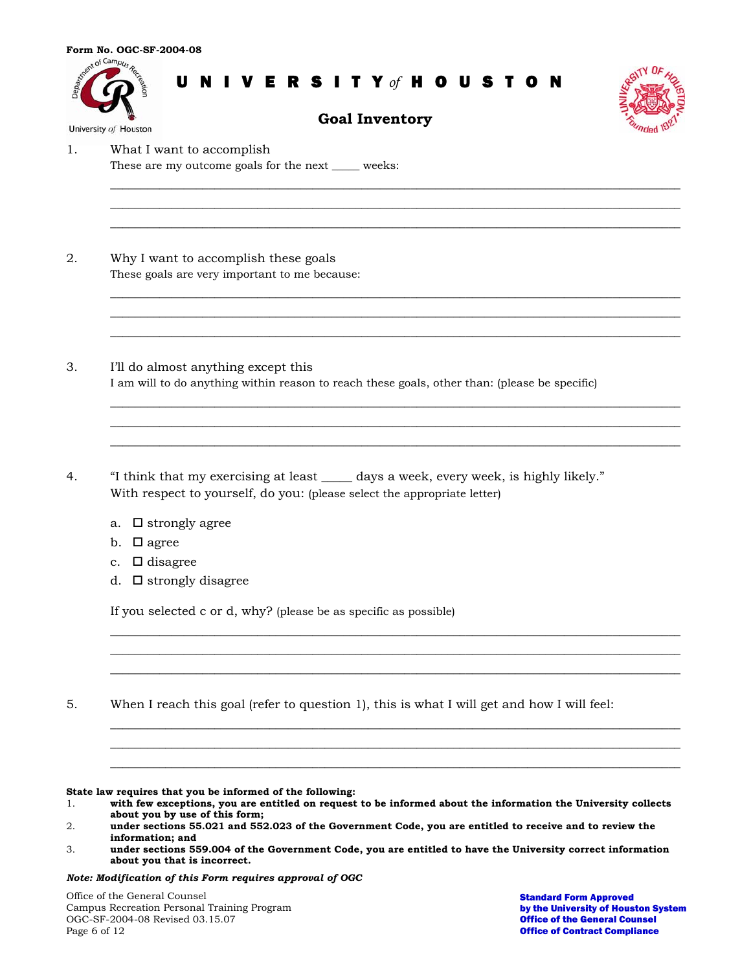



**Goal Inventory** 

 $\overline{\phantom{a}}$  , and the contribution of the contribution of the contribution of the contribution of the contribution of the contribution of the contribution of the contribution of the contribution of the contribution of the  $\overline{\phantom{a}}$  , and the contribution of the contribution of the contribution of the contribution of the contribution of the contribution of the contribution of the contribution of the contribution of the contribution of the  $\overline{\phantom{a}}$  , and the contribution of the contribution of the contribution of the contribution of the contribution of the contribution of the contribution of the contribution of the contribution of the contribution of the

 $\overline{\phantom{a}}$  , and the contribution of the contribution of the contribution of the contribution of the contribution of the contribution of the contribution of the contribution of the contribution of the contribution of the  $\overline{\phantom{a}}$  , and the contribution of the contribution of the contribution of the contribution of the contribution of the contribution of the contribution of the contribution of the contribution of the contribution of the  $\overline{\phantom{a}}$  , and the contribution of the contribution of the contribution of the contribution of the contribution of the contribution of the contribution of the contribution of the contribution of the contribution of the

 $\overline{\phantom{a}}$  , and the contribution of the contribution of the contribution of the contribution of the contribution of the contribution of the contribution of the contribution of the contribution of the contribution of the  $\overline{\phantom{a}}$  , and the contribution of the contribution of the contribution of the contribution of the contribution of the contribution of the contribution of the contribution of the contribution of the contribution of the  $\overline{\phantom{a}}$  , and the contribution of the contribution of the contribution of the contribution of the contribution of the contribution of the contribution of the contribution of the contribution of the contribution of the

\_\_\_\_\_\_\_\_\_\_\_\_\_\_\_\_\_\_\_\_\_\_\_\_\_\_\_\_\_\_\_\_\_\_\_\_\_\_\_\_\_\_\_\_\_\_\_\_\_\_\_\_\_\_\_\_\_\_\_\_\_\_\_\_\_\_\_\_\_\_\_\_\_\_\_\_\_\_\_\_\_\_\_\_\_\_\_\_\_\_\_\_\_ \_\_\_\_\_\_\_\_\_\_\_\_\_\_\_\_\_\_\_\_\_\_\_\_\_\_\_\_\_\_\_\_\_\_\_\_\_\_\_\_\_\_\_\_\_\_\_\_\_\_\_\_\_\_\_\_\_\_\_\_\_\_\_\_\_\_\_\_\_\_\_\_\_\_\_\_\_\_\_\_\_\_\_\_\_\_\_\_\_\_\_\_\_ \_\_\_\_\_\_\_\_\_\_\_\_\_\_\_\_\_\_\_\_\_\_\_\_\_\_\_\_\_\_\_\_\_\_\_\_\_\_\_\_\_\_\_\_\_\_\_\_\_\_\_\_\_\_\_\_\_\_\_\_\_\_\_\_\_\_\_\_\_\_\_\_\_\_\_\_\_\_\_\_\_\_\_\_\_\_\_\_\_\_\_\_\_

\_\_\_\_\_\_\_\_\_\_\_\_\_\_\_\_\_\_\_\_\_\_\_\_\_\_\_\_\_\_\_\_\_\_\_\_\_\_\_\_\_\_\_\_\_\_\_\_\_\_\_\_\_\_\_\_\_\_\_\_\_\_\_\_\_\_\_\_\_\_\_\_\_\_\_\_\_\_\_\_\_\_\_\_\_\_\_\_\_\_\_\_\_ \_\_\_\_\_\_\_\_\_\_\_\_\_\_\_\_\_\_\_\_\_\_\_\_\_\_\_\_\_\_\_\_\_\_\_\_\_\_\_\_\_\_\_\_\_\_\_\_\_\_\_\_\_\_\_\_\_\_\_\_\_\_\_\_\_\_\_\_\_\_\_\_\_\_\_\_\_\_\_\_\_\_\_\_\_\_\_\_\_\_\_\_\_ \_\_\_\_\_\_\_\_\_\_\_\_\_\_\_\_\_\_\_\_\_\_\_\_\_\_\_\_\_\_\_\_\_\_\_\_\_\_\_\_\_\_\_\_\_\_\_\_\_\_\_\_\_\_\_\_\_\_\_\_\_\_\_\_\_\_\_\_\_\_\_\_\_\_\_\_\_\_\_\_\_\_\_\_\_\_\_\_\_\_\_\_\_

1. What I want to accomplish

These are my outcome goals for the next \_\_\_\_\_ weeks:

- 2. Why I want to accomplish these goals These goals are very important to me because:
- 3. I'll do almost anything except this I am will to do anything within reason to reach these goals, other than: (please be specific)
- 4. "I think that my exercising at least \_\_\_\_\_ days a week, every week, is highly likely." With respect to yourself, do you: (please select the appropriate letter)
	- a.  $\Box$  strongly agree
	- b.  $\Box$  agree
	- c.  $\Box$  disagree
	- d.  $\Box$  strongly disagree

If you selected c or d, why? (please be as specific as possible)

5. When I reach this goal (refer to question 1), this is what I will get and how I will feel:

**State law requires that you be informed of the following:** 

*Note: Modification of this Form requires approval of OGC* 

Office of the General Counsel Campus Recreation Personal Training Program OGC-SF-2004-08 Revised 03.15.07 Page 6 of 12

<sup>1.</sup> **with few exceptions, you are entitled on request to be informed about the information the University collects about you by use of this form;** 

<sup>2.</sup> **under sections 55.021 and 552.023 of the Government Code, you are entitled to receive and to review the information; and** 

<sup>3.</sup> **under sections 559.004 of the Government Code, you are entitled to have the University correct information about you that is incorrect.**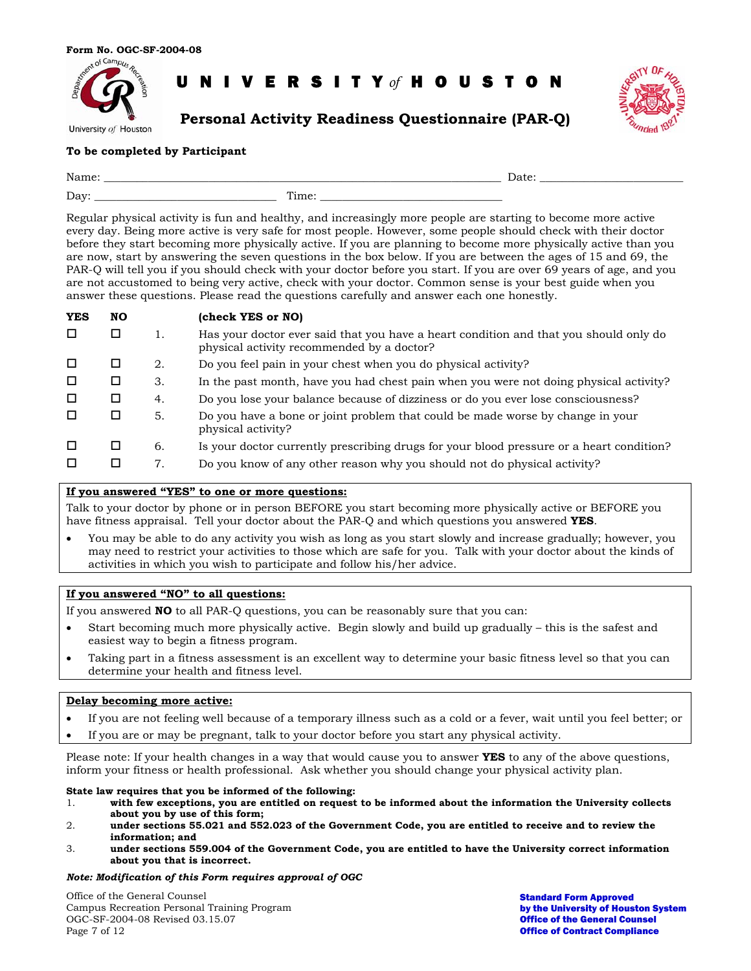

**Personal Activity Readiness Questionnaire (PAR-Q)** 



### **To be completed by Participant**

| Nan<br>- . amille               |        |  |
|---------------------------------|--------|--|
| $\overline{\phantom{a}}$<br>Day | -<br>. |  |

Regular physical activity is fun and healthy, and increasingly more people are starting to become more active every day. Being more active is very safe for most people. However, some people should check with their doctor before they start becoming more physically active. If you are planning to become more physically active than you are now, start by answering the seven questions in the box below. If you are between the ages of 15 and 69, the PAR-Q will tell you if you should check with your doctor before you start. If you are over 69 years of age, and you are not accustomed to being very active, check with your doctor. Common sense is your best guide when you answer these questions. Please read the questions carefully and answer each one honestly.

| <b>YES</b> | NO |    | (check YES or NO)                                                                                                                   |
|------------|----|----|-------------------------------------------------------------------------------------------------------------------------------------|
| □          | □  |    | Has your doctor ever said that you have a heart condition and that you should only do<br>physical activity recommended by a doctor? |
| □          | □  | 2. | Do you feel pain in your chest when you do physical activity?                                                                       |
| □          | □  | 3. | In the past month, have you had chest pain when you were not doing physical activity?                                               |
| □          | □  | 4. | Do you lose your balance because of dizziness or do you ever lose consciousness?                                                    |
| П          | □  | 5. | Do you have a bone or joint problem that could be made worse by change in your<br>physical activity?                                |
| □          | □  | 6. | Is your doctor currently prescribing drugs for your blood pressure or a heart condition?                                            |
|            | □  | 7. | Do you know of any other reason why you should not do physical activity?                                                            |

#### **If you answered "YES" to one or more questions:**

Talk to your doctor by phone or in person BEFORE you start becoming more physically active or BEFORE you have fitness appraisal. Tell your doctor about the PAR-Q and which questions you answered **YES**.

• You may be able to do any activity you wish as long as you start slowly and increase gradually; however, you may need to restrict your activities to those which are safe for you. Talk with your doctor about the kinds of activities in which you wish to participate and follow his/her advice.

## **If you answered "NO" to all questions:**

If you answered **NO** to all PAR-Q questions, you can be reasonably sure that you can:

- Start becoming much more physically active. Begin slowly and build up gradually this is the safest and easiest way to begin a fitness program.
- Taking part in a fitness assessment is an excellent way to determine your basic fitness level so that you can determine your health and fitness level.

#### **Delay becoming more active:**

- If you are not feeling well because of a temporary illness such as a cold or a fever, wait until you feel better; or
- If you are or may be pregnant, talk to your doctor before you start any physical activity.

Please note: If your health changes in a way that would cause you to answer **YES** to any of the above questions, inform your fitness or health professional. Ask whether you should change your physical activity plan.

#### **State law requires that you be informed of the following:**

- 1. **with few exceptions, you are entitled on request to be informed about the information the University collects about you by use of this form;**
- 2. **under sections 55.021 and 552.023 of the Government Code, you are entitled to receive and to review the information; and**
- 3. **under sections 559.004 of the Government Code, you are entitled to have the University correct information about you that is incorrect.**

#### *Note: Modification of this Form requires approval of OGC*

Office of the General Counsel Campus Recreation Personal Training Program OGC-SF-2004-08 Revised 03.15.07 Page 7 of 12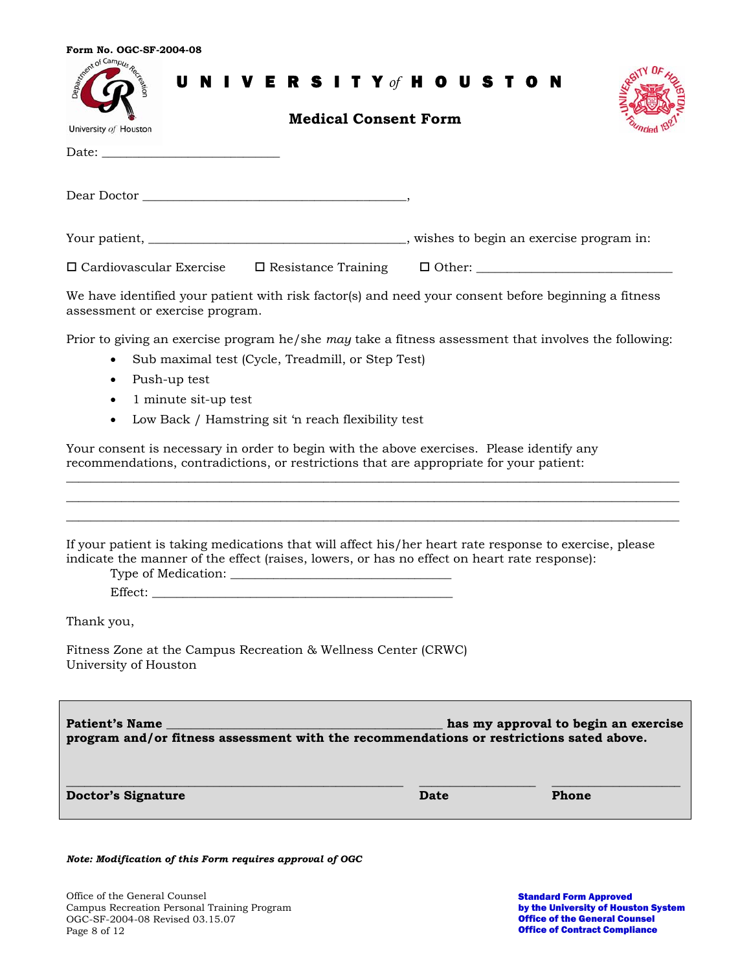| Form No. OGC-SF-2004-08                                                                                                                                                                                                       |      |                                      |
|-------------------------------------------------------------------------------------------------------------------------------------------------------------------------------------------------------------------------------|------|--------------------------------------|
| Accent of Campus Re<br>U N I V E R S I T Y of H O U S T O N                                                                                                                                                                   |      |                                      |
| <b>Medical Consent Form</b>                                                                                                                                                                                                   |      |                                      |
| University of Houston                                                                                                                                                                                                         |      |                                      |
|                                                                                                                                                                                                                               |      |                                      |
|                                                                                                                                                                                                                               |      |                                      |
|                                                                                                                                                                                                                               |      |                                      |
| □ Cardiovascular Exercise □ Resistance Training □ Other: _______________________                                                                                                                                              |      |                                      |
| We have identified your patient with risk factor(s) and need your consent before beginning a fitness<br>assessment or exercise program.                                                                                       |      |                                      |
| Prior to giving an exercise program he/she may take a fitness assessment that involves the following:                                                                                                                         |      |                                      |
| Sub maximal test (Cycle, Treadmill, or Step Test)                                                                                                                                                                             |      |                                      |
| Push-up test                                                                                                                                                                                                                  |      |                                      |
| 1 minute sit-up test                                                                                                                                                                                                          |      |                                      |
| Low Back / Hamstring sit 'n reach flexibility test                                                                                                                                                                            |      |                                      |
| Your consent is necessary in order to begin with the above exercises. Please identify any<br>recommendations, contradictions, or restrictions that are appropriate for your patient:                                          |      |                                      |
|                                                                                                                                                                                                                               |      |                                      |
| If your patient is taking medications that will affect his/her heart rate response to exercise, please<br>indicate the manner of the effect (raises, lowers, or has no effect on heart rate response):<br>Type of Medication: |      |                                      |
| Effect:                                                                                                                                                                                                                       |      |                                      |
| Thank you,                                                                                                                                                                                                                    |      |                                      |
| Fitness Zone at the Campus Recreation & Wellness Center (CRWC)<br>University of Houston                                                                                                                                       |      |                                      |
| <b>Patient's Name</b><br>program and/or fitness assessment with the recommendations or restrictions sated above.                                                                                                              |      | has my approval to begin an exercise |
| <b>Doctor's Signature</b>                                                                                                                                                                                                     | Date | Phone                                |
| Note: Modification of this Form requires approval of OGC                                                                                                                                                                      |      |                                      |
|                                                                                                                                                                                                                               |      |                                      |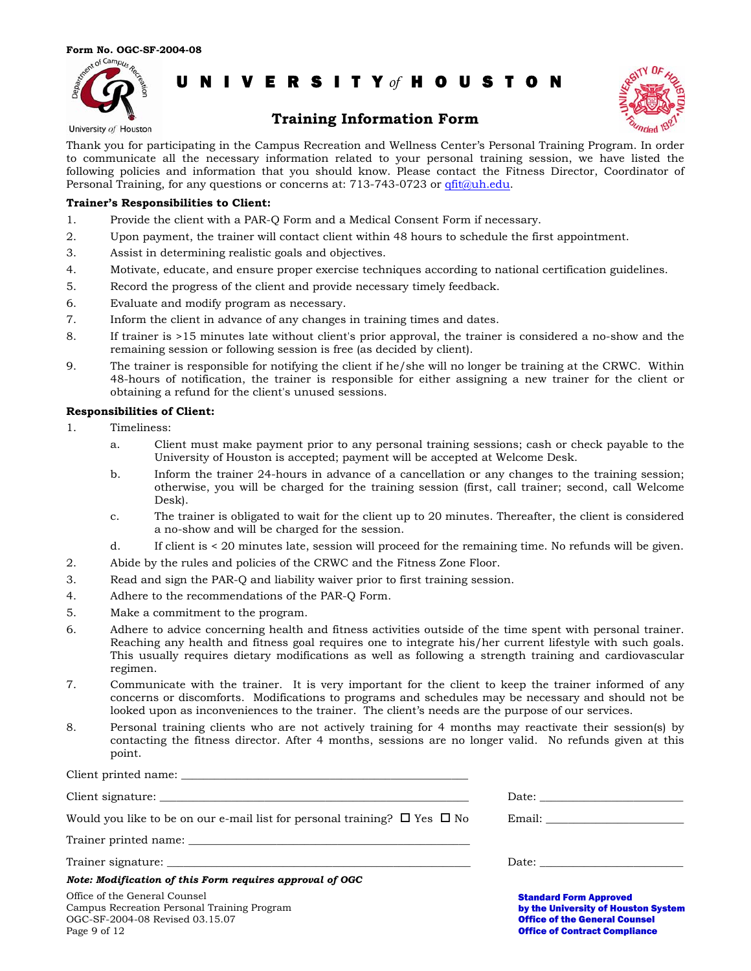



Office of Contract Compliance

## **Training Information Form**

University of Houston

Thank you for participating in the Campus Recreation and Wellness Center's Personal Training Program. In order to communicate all the necessary information related to your personal training session, we have listed the following policies and information that you should know. Please contact the Fitness Director, Coordinator of Personal Training, for any questions or concerns at: 713-743-0723 or [qfit@uh.edu.](mailto:qfit@uh.edu)

#### **Trainer's Responsibilities to Client:**

- 1. Provide the client with a PAR-Q Form and a Medical Consent Form if necessary.
- 2. Upon payment, the trainer will contact client within 48 hours to schedule the first appointment.
- 3. Assist in determining realistic goals and objectives.
- 4. Motivate, educate, and ensure proper exercise techniques according to national certification guidelines.
- 5. Record the progress of the client and provide necessary timely feedback.
- 6. Evaluate and modify program as necessary.
- 7. Inform the client in advance of any changes in training times and dates.
- 8. If trainer is >15 minutes late without client's prior approval, the trainer is considered a no-show and the remaining session or following session is free (as decided by client).
- 9. The trainer is responsible for notifying the client if he/she will no longer be training at the CRWC. Within 48-hours of notification, the trainer is responsible for either assigning a new trainer for the client or obtaining a refund for the client's unused sessions.

#### **Responsibilities of Client:**

1. Timeliness:

Client printed name:

Page 9 of 12

- a. Client must make payment prior to any personal training sessions; cash or check payable to the University of Houston is accepted; payment will be accepted at Welcome Desk.
- b. Inform the trainer 24-hours in advance of a cancellation or any changes to the training session; otherwise, you will be charged for the training session (first, call trainer; second, call Welcome Desk).
- c. The trainer is obligated to wait for the client up to 20 minutes. Thereafter, the client is considered a no-show and will be charged for the session.
- d. If client is < 20 minutes late, session will proceed for the remaining time. No refunds will be given.
- 2. Abide by the rules and policies of the CRWC and the Fitness Zone Floor.
- 3. Read and sign the PAR-Q and liability waiver prior to first training session.
- 4. Adhere to the recommendations of the PAR-Q Form.
- 5. Make a commitment to the program.
- 6. Adhere to advice concerning health and fitness activities outside of the time spent with personal trainer. Reaching any health and fitness goal requires one to integrate his/her current lifestyle with such goals. This usually requires dietary modifications as well as following a strength training and cardiovascular regimen.
- 7. Communicate with the trainer. It is very important for the client to keep the trainer informed of any concerns or discomforts. Modifications to programs and schedules may be necessary and should not be looked upon as inconveniences to the trainer. The client's needs are the purpose of our services.
- 8. Personal training clients who are not actively training for 4 months may reactivate their session(s) by contacting the fitness director. After 4 months, sessions are no longer valid. No refunds given at this point.

| Would you like to be on our e-mail list for personal training? $\Box$ Yes $\Box$ No                             |                                                                                                              |
|-----------------------------------------------------------------------------------------------------------------|--------------------------------------------------------------------------------------------------------------|
|                                                                                                                 |                                                                                                              |
|                                                                                                                 |                                                                                                              |
| Note: Modification of this Form requires approval of OGC                                                        |                                                                                                              |
| Office of the General Counsel<br>Campus Recreation Personal Training Program<br>OGC-SF-2004-08 Revised 03.15.07 | <b>Standard Form Approved</b><br>by the University of Houston System<br><b>Office of the General Counsel</b> |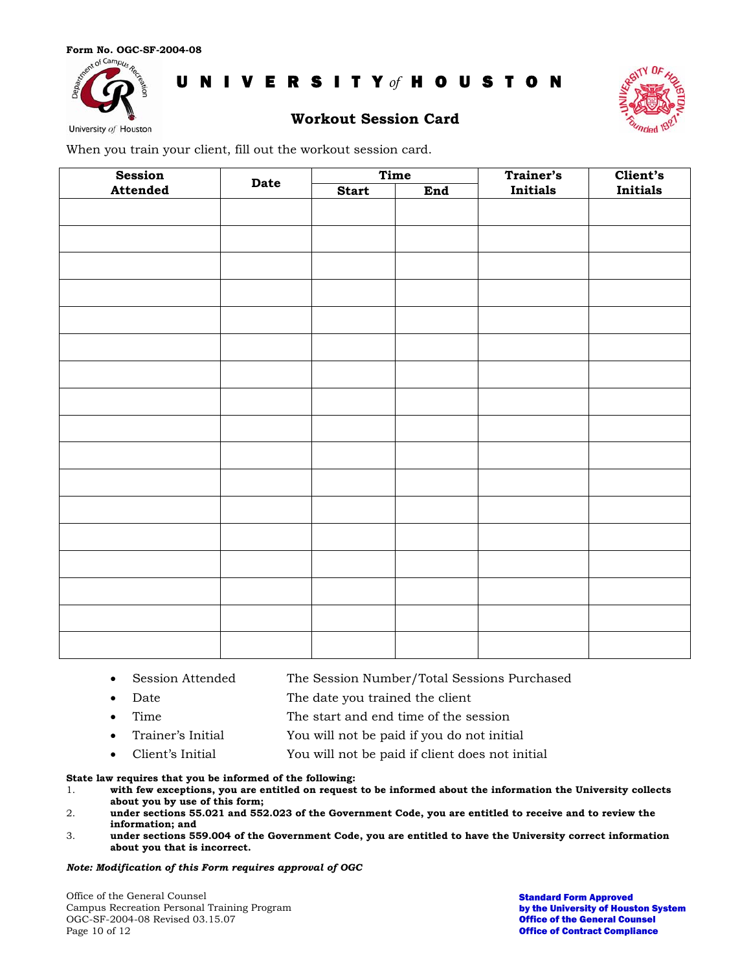



University of Houston

## **Workout Session Card**

When you train your client, fill out the workout session card.

| Session  | Date | Time         |     | Trainer's | Client's |
|----------|------|--------------|-----|-----------|----------|
| Attended |      | <b>Start</b> | End | Initials  | Initials |
|          |      |              |     |           |          |
|          |      |              |     |           |          |
|          |      |              |     |           |          |
|          |      |              |     |           |          |
|          |      |              |     |           |          |
|          |      |              |     |           |          |
|          |      |              |     |           |          |
|          |      |              |     |           |          |
|          |      |              |     |           |          |
|          |      |              |     |           |          |
|          |      |              |     |           |          |
|          |      |              |     |           |          |
|          |      |              |     |           |          |
|          |      |              |     |           |          |
|          |      |              |     |           |          |
|          |      |              |     |           |          |
|          |      |              |     |           |          |
|          |      |              |     |           |          |
|          |      |              |     |           |          |
|          |      |              |     |           |          |
|          |      |              |     |           |          |
|          |      |              |     |           |          |
|          |      |              |     |           |          |
|          |      |              |     |           |          |
|          |      |              |     |           |          |

- Session Attended The Session Number/Total Sessions Purchased
- Date The date you trained the client
- Time The start and end time of the session
- Trainer's Initial You will not be paid if you do not initial
- Client's Initial You will not be paid if client does not initial

**State law requires that you be informed of the following:** 

- 1. **with few exceptions, you are entitled on request to be informed about the information the University collects about you by use of this form;**
- 2. **under sections 55.021 and 552.023 of the Government Code, you are entitled to receive and to review the information; and**
- 3. **under sections 559.004 of the Government Code, you are entitled to have the University correct information about you that is incorrect.**

#### *Note: Modification of this Form requires approval of OGC*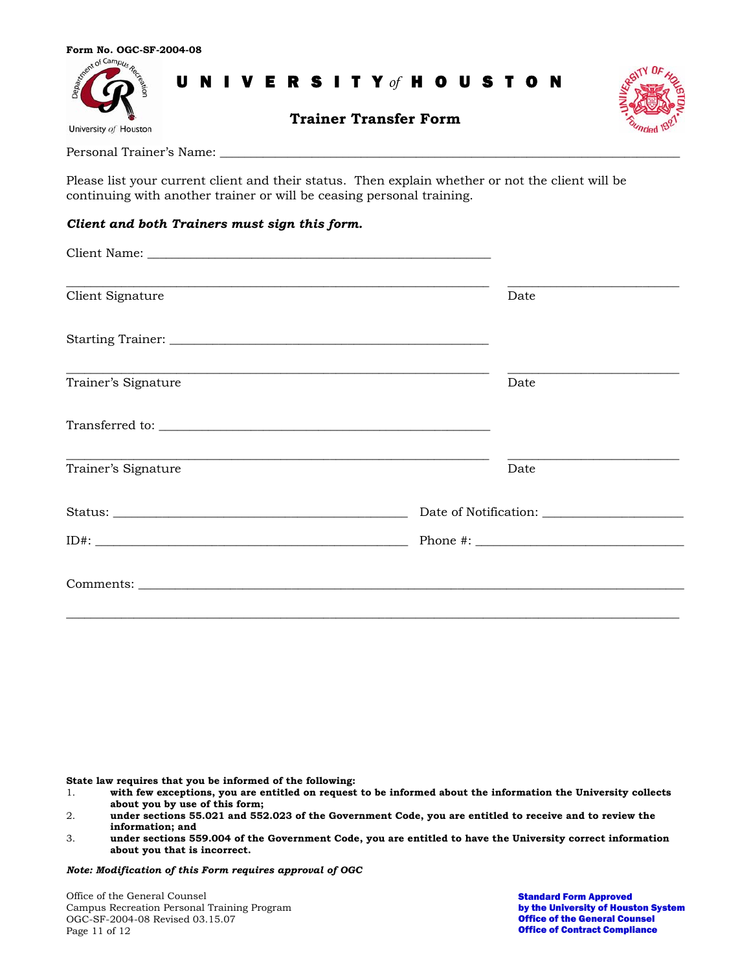



Personal Trainer's Name: \_\_\_\_\_\_\_\_\_\_\_\_\_\_\_\_\_\_\_\_\_\_\_\_\_\_\_\_\_\_\_\_\_\_\_\_\_\_\_\_\_\_\_\_\_\_\_\_\_\_\_\_\_\_\_\_\_\_\_\_\_\_\_\_\_\_\_\_\_\_\_\_\_\_\_

Please list your current client and their status. Then explain whether or not the client will be continuing with another trainer or will be ceasing personal training.

### *Client and both Trainers must sign this form.*

| <u> 1989 - Johann Stoff, deutscher Stoff, der Stoff, der Stoff, der Stoff, der Stoff, der Stoff, der Stoff, der S</u><br>Date |  |
|-------------------------------------------------------------------------------------------------------------------------------|--|
|                                                                                                                               |  |
| Date                                                                                                                          |  |
|                                                                                                                               |  |
| <u> 1989 - Johann Harry Harry Harry Harry Harry Harry Harry Harry Harry Harry Harry Harry Harry Harry Harry Harry</u><br>Date |  |
|                                                                                                                               |  |
|                                                                                                                               |  |
|                                                                                                                               |  |
|                                                                                                                               |  |

**State law requires that you be informed of the following:** 

1. **with few exceptions, you are entitled on request to be informed about the information the University collects about you by use of this form;** 

3. **under sections 559.004 of the Government Code, you are entitled to have the University correct information about you that is incorrect.** 

*Note: Modification of this Form requires approval of OGC*

Office of the General Counsel Campus Recreation Personal Training Program OGC-SF-2004-08 Revised 03.15.07 Page 11 of 12

<sup>2.</sup> **under sections 55.021 and 552.023 of the Government Code, you are entitled to receive and to review the information; and**